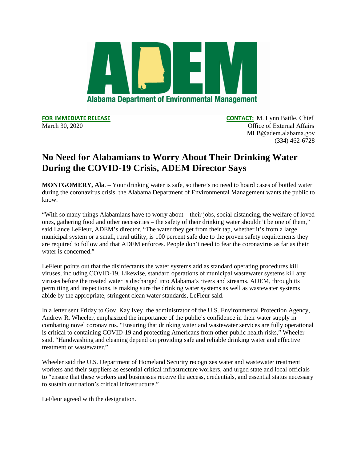

**FOR IMMEDIATE RELEASE CONTACT:** M. Lynn Battle, Chief March 30, 2020 **Office of External Affairs Office of External Affairs** MLB@adem.alabama.gov (334) 462-6728

## **No Need for Alabamians to Worry About Their Drinking Water During the COVID-19 Crisis, ADEM Director Says**

**MONTGOMERY, Ala**. – Your drinking water is safe, so there's no need to hoard cases of bottled water during the coronavirus crisis, the Alabama Department of Environmental Management wants the public to know.

"With so many things Alabamians have to worry about – their jobs, social distancing, the welfare of loved ones, gathering food and other necessities – the safety of their drinking water shouldn't be one of them," said Lance LeFleur, ADEM's director. "The water they get from their tap, whether it's from a large municipal system or a small, rural utility, is 100 percent safe due to the proven safety requirements they are required to follow and that ADEM enforces. People don't need to fear the coronavirus as far as their water is concerned."

LeFleur points out that the disinfectants the water systems add as standard operating procedures kill viruses, including COVID-19. Likewise, standard operations of municipal wastewater systems kill any viruses before the treated water is discharged into Alabama's rivers and streams. ADEM, through its permitting and inspections, is making sure the drinking water systems as well as wastewater systems abide by the appropriate, stringent clean water standards, LeFleur said.

In a letter sent Friday to Gov. Kay Ivey, the administrator of the U.S. Environmental Protection Agency, Andrew R. Wheeler, emphasized the importance of the public's confidence in their water supply in combating novel coronavirus. "Ensuring that drinking water and wastewater services are fully operational is critical to containing COVID-19 and protecting Americans from other public health risks," Wheeler said. "Handwashing and cleaning depend on providing safe and reliable drinking water and effective treatment of wastewater."

Wheeler said the U.S. Department of Homeland Security recognizes water and wastewater treatment workers and their suppliers as essential critical infrastructure workers, and urged state and local officials to "ensure that these workers and businesses receive the access, credentials, and essential status necessary to sustain our nation's critical infrastructure."

LeFleur agreed with the designation.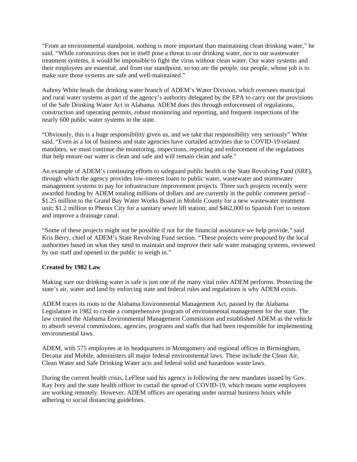"From an environmental standpoint, nothing is more important than maintaining clean drinking water," he said. "While coronavirus does not in itself pose a threat to our drinking water, nor to our wastewater treatment systems, it would be impossible to fight the virus without clean water. Our water systems and their employees are essential, and from our standpoint, so too are the people, our people, whose job is to make sure those systems are safe and well-maintained."

Aubrey White heads the drinking water branch of ADEM's Water Division, which oversees municipal and rural water systems as part of the agency's authority delegated by the EPA to carry out the provisions of the Safe Drinking Water Act in Alabama. ADEM does this through enforcement of regulations, construction and operating permits, robust monitoring and reporting, and frequent inspections of the nearly 600 public water systems in the state.

"Obviously, this is a huge responsibility given us, and we take that responsibility very seriously" White said. "Even as a lot of business and state agencies have curtailed activities due to COVID-19-related mandates, we must continue the monitoring, inspections, reporting and enforcement of the regulations that help ensure our water is clean and safe and will remain clean and safe."

An example of ADEM's continuing efforts to safeguard public health is the State Revolving Fund (SRF), through which the agency provides low-interest loans to public water, wastewater and stormwater management systems to pay for infrastructure improvement projects. Three such projects recently were awarded funding by ADEM totaling millions of dollars and are currently in the public comment period – \$1.25 million to the Grand Bay Water Works Board in Mobile County for a new wastewater treatment unit; \$1.2 million to Phenix City for a sanitary sewer lift station; and \$462,000 to Spanish Fort to restore and improve a drainage canal.

"Some of these projects might not be possible if not for the financial assistance we help provide," said Kris Berry, chief of ADEM's State Revolving Fund section. "These projects were proposed by the local authorities based on what they need to maintain and improve their safe water managing systems, reviewed by our staff and opened to the public to weigh in."

## **Created by 1982 Law**

Making sure our drinking water is safe is just one of the many vital roles ADEM performs. Protecting the state's air, water and land by enforcing state and federal rules and regulations is why ADEM exists.

ADEM traces its roots to the Alabama Environmental Management Act, passed by the Alabama Legislature in 1982 to create a comprehensive program of environmental management for the state. The law created the Alabama Environmental Management Commission and established ADEM as the vehicle to absorb several commissions, agencies, programs and staffs that had been responsible for implementing environmental laws.

ADEM, with 575 employees at its headquarters in Montgomery and regional offices in Birmingham, Decatur and Mobile, administers all major federal environmental laws. These include the Clean Air, Clean Water and Safe Drinking Water acts and federal solid and hazardous waste laws.

During the current health crisis, LeFleur said his agency is following the new mandates issued by Gov. Kay Ivey and the state health officer to curtail the spread of COVID-19, which means some employees are working remotely. However, ADEM offices are operating under normal business hours while adhering to social distancing guidelines.